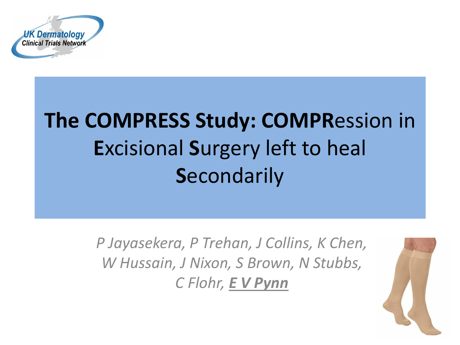

## **The COMPRESS Study: COMPR**ession in **E**xcisional **S**urgery left to heal **S**econdarily

*P Jayasekera, P Trehan, J Collins, K Chen, W Hussain, J Nixon, S Brown, N Stubbs, C Flohr, E V Pynn*

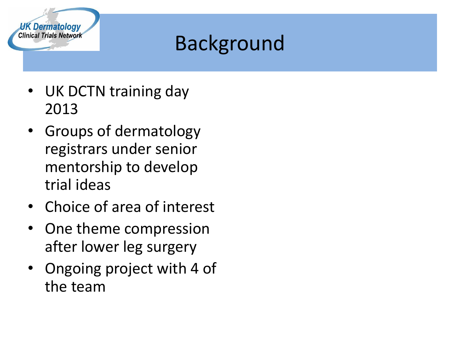

### Background

- UK DCTN training day 2013
- Groups of dermatology registrars under senior mentorship to develop trial ideas
- Choice of area of interest
- One theme compression after lower leg surgery
- Ongoing project with 4 of the team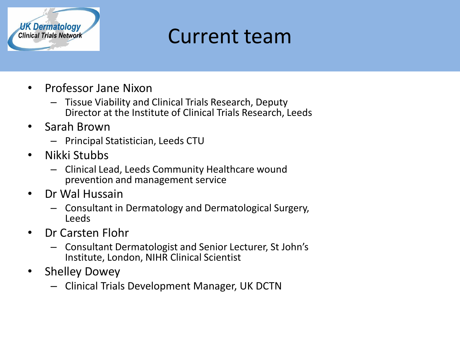

#### Current team

- Professor Jane Nixon
	- Tissue Viability and Clinical Trials Research, Deputy Director at the Institute of Clinical Trials Research, Leeds
- Sarah Brown
	- Principal Statistician, Leeds CTU
- Nikki Stubbs
	- Clinical Lead, Leeds Community Healthcare wound prevention and management service
- Dr Wal Hussain
	- Consultant in Dermatology and Dermatological Surgery, Leeds
- Dr Carsten Flohr
	- Consultant Dermatologist and Senior Lecturer, St John's Institute, London, NIHR Clinical Scientist
- Shelley Dowey
	- Clinical Trials Development Manager, UK DCTN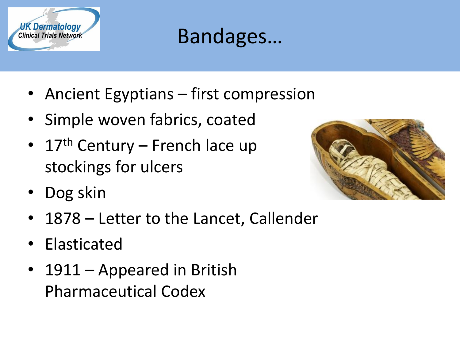

#### Bandages…

- Ancient Egyptians first compression
- Simple woven fabrics, coated
- 17<sup>th</sup> Century French lace up stockings for ulcers
- Dog skin



- 1878 Letter to the Lancet, Callender
- Elasticated
- 1911 Appeared in British Pharmaceutical Codex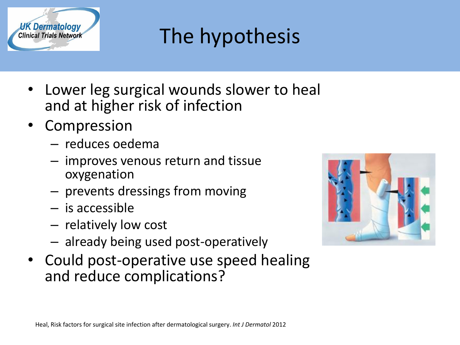

### The hypothesis

- Lower leg surgical wounds slower to heal and at higher risk of infection
- **Compression** 
	- reduces oedema
	- improves venous return and tissue oxygenation
	- prevents dressings from moving
	- is accessible
	- relatively low cost
	- already being used post-operatively
- Could post-operative use speed healing and reduce complications?

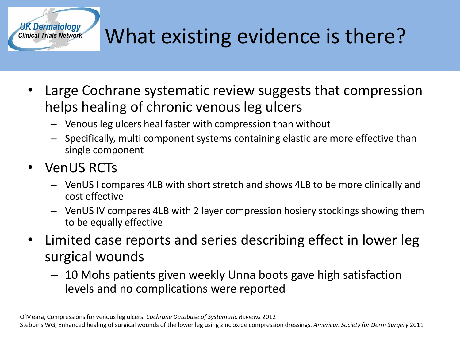

## UK Dermatology<br>Clinical Trials Network What existing evidence is there?

- Large Cochrane systematic review suggests that compression helps healing of chronic venous leg ulcers
	- Venous leg ulcers heal faster with compression than without
	- Specifically, multi component systems containing elastic are more effective than single component
- VenUS RCTs
	- VenUS I compares 4LB with short stretch and shows 4LB to be more clinically and cost effective
	- VenUS IV compares 4LB with 2 layer compression hosiery stockings showing them to be equally effective
- Limited case reports and series describing effect in lower leg surgical wounds
	- 10 Mohs patients given weekly Unna boots gave high satisfaction levels and no complications were reported

O'Meara, Compressions for venous leg ulcers. *Cochrane Database of Systematic Reviews* 2012 Stebbins WG, Enhanced healing of surgical wounds of the lower leg using zinc oxide compression dressings. *American Society for Derm Surgery* 2011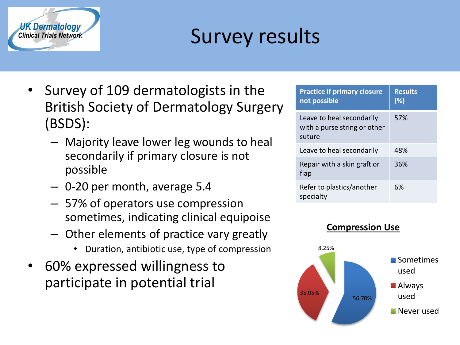

### Survey results

- Survey of 109 dermatologists in the British Society of Dermatology Surgery (BSDS):
	- Majority leave lower leg wounds to heal secondarily if primary closure is not possible
	- 0-20 per month, average 5.4
	- 57% of operators use compression sometimes, indicating clinical equipoise
	- Other elements of practice vary greatly
		- Duration, antibiotic use, type of compression
- 60% expressed willingness to participate in potential trial

| <b>Practice if primary closure</b><br>not possible                  | <b>Results</b><br>(%) |
|---------------------------------------------------------------------|-----------------------|
| Leave to heal secondarily<br>with a purse string or other<br>suture | 57%                   |
| Leave to heal secondarily                                           | 48%                   |
| Repair with a skin graft or<br>flap                                 | 36%                   |
| Refer to plastics/another<br>specialty                              | 6%                    |

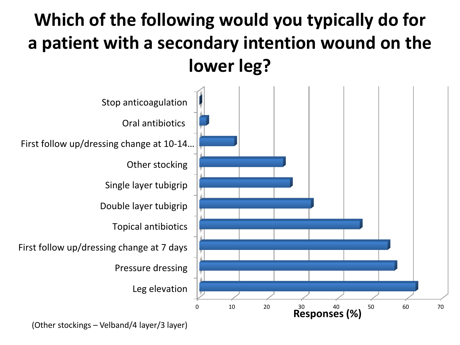#### **Which of the following would you typically do for a patient with a secondary intention wound on the lower leg?**



(Other stockings – Velband/4 layer/3 layer)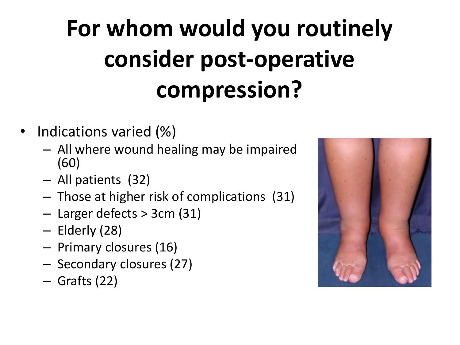# **For whom would you routinely consider post-operative compression?**

- Indications varied (%)
	- All where wound healing may be impaired (60)
	- All patients (32)
	- Those at higher risk of complications (31)
	- Larger defects > 3cm (31)
	- Elderly (28)
	- Primary closures (16)
	- Secondary closures (27)
	- Grafts (22)

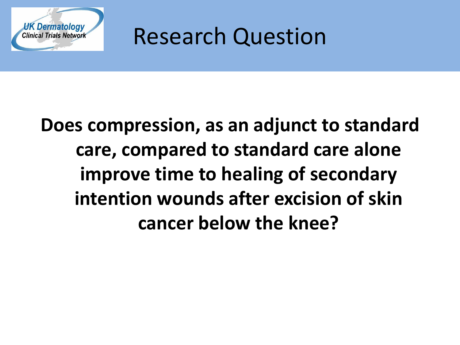

Research Question

### **Does compression, as an adjunct to standard care, compared to standard care alone improve time to healing of secondary intention wounds after excision of skin cancer below the knee?**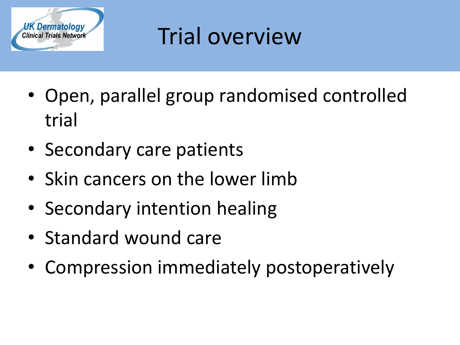

## Trial overview

- Open, parallel group randomised controlled trial
- Secondary care patients
- Skin cancers on the lower limb
- Secondary intention healing
- Standard wound care
- Compression immediately postoperatively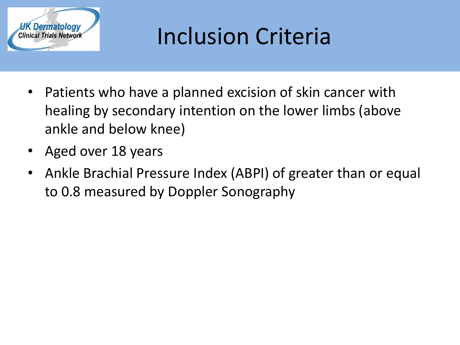

## Inclusion Criteria

- Patients who have a planned excision of skin cancer with healing by secondary intention on the lower limbs (above ankle and below knee)
- Aged over 18 years
- Ankle Brachial Pressure Index (ABPI) of greater than or equal to 0.8 measured by Doppler Sonography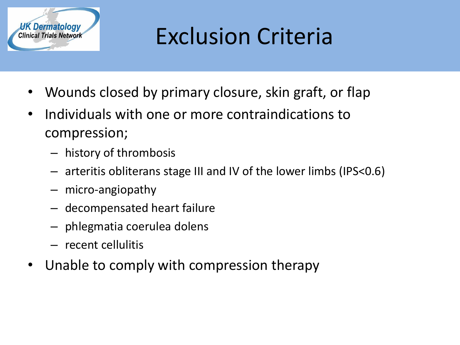

## Exclusion Criteria

- Wounds closed by primary closure, skin graft, or flap
- Individuals with one or more contraindications to compression;
	- history of thrombosis
	- arteritis obliterans stage III and IV of the lower limbs (IPS<0.6)
	- micro-angiopathy
	- decompensated heart failure
	- phlegmatia coerulea dolens
	- recent cellulitis
- Unable to comply with compression therapy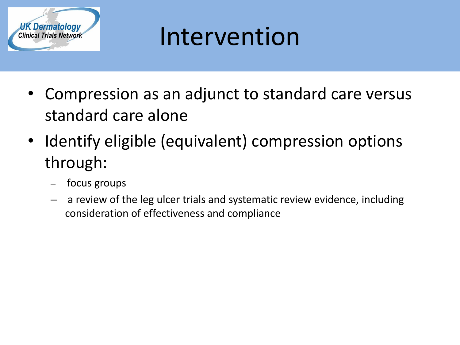

## Intervention

- Compression as an adjunct to standard care versus standard care alone
- Identify eligible (equivalent) compression options through:
	- focus groups
	- a review of the leg ulcer trials and systematic review evidence, including consideration of effectiveness and compliance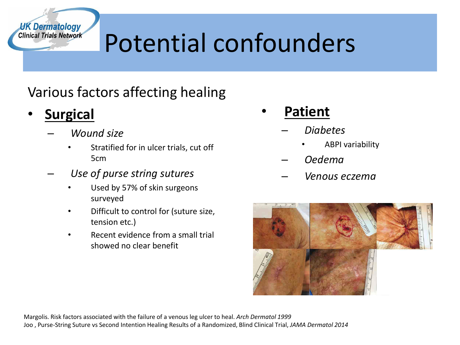## Potential confounders

#### Various factors affecting healing

• **Surgical**

**UK Dermatology Clinical Trials Network** 

- *Wound size*
	- Stratified for in ulcer trials, cut off 5cm
- *Use of purse string sutures*
	- Used by 57% of skin surgeons surveyed
	- Difficult to control for (suture size, tension etc.)
	- Recent evidence from a small trial showed no clear benefit
- **Patient**
	- *Diabetes*
		- ABPI variability
	- *Oedema*
	- *Venous eczema*



Margolis. Risk factors associated with the failure of a venous leg ulcer to heal. *Arch Dermatol 1999* Joo , Purse-String Suture vs Second Intention Healing Results of a Randomized, Blind Clinical Trial, *JAMA Dermatol 2014*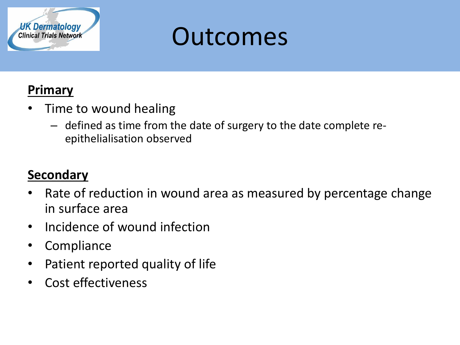

## Outcomes

#### **Primary**

- Time to wound healing
	- defined as time from the date of surgery to the date complete reepithelialisation observed

#### **Secondary**

- Rate of reduction in wound area as measured by percentage change in surface area
- Incidence of wound infection
- Compliance
- Patient reported quality of life
- Cost effectiveness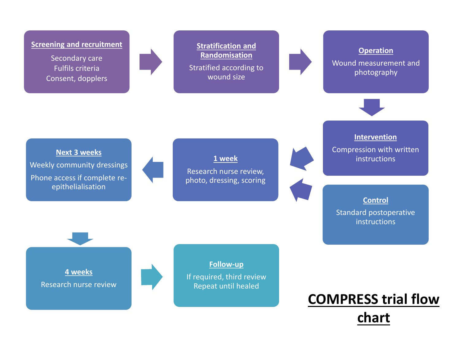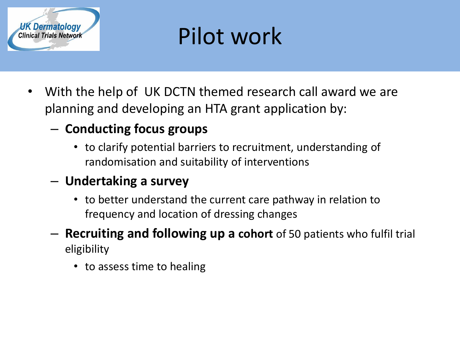

## Pilot work

- With the help of UK DCTN themed research call award we are planning and developing an HTA grant application by:
	- **Conducting focus groups**
		- to clarify potential barriers to recruitment, understanding of randomisation and suitability of interventions

#### – **Undertaking a survey**

- to better understand the current care pathway in relation to frequency and location of dressing changes
- **Recruiting and following up a cohort** of 50 patients who fulfil trial eligibility
	- to assess time to healing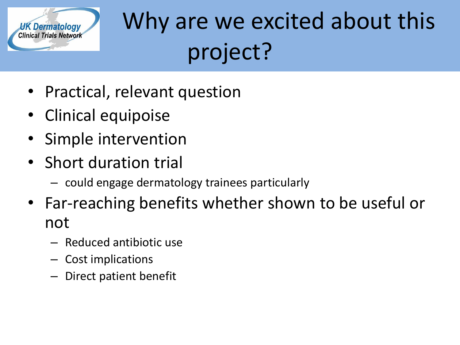

# UK Dermatology Why are we excited about this project?

- Practical, relevant question
- Clinical equipoise
- Simple intervention
- Short duration trial
	- could engage dermatology trainees particularly
- Far-reaching benefits whether shown to be useful or not
	- Reduced antibiotic use
	- Cost implications
	- Direct patient benefit